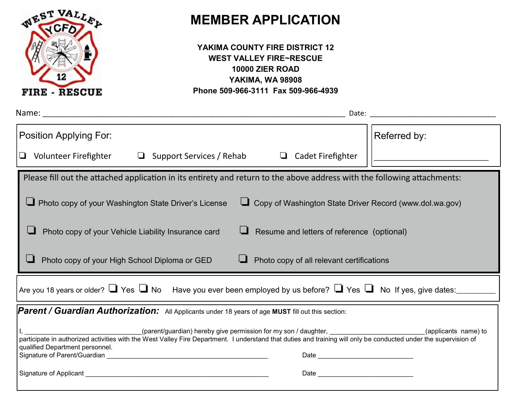

# **MEMBER APPLICATION**

| YAKIMA COUNTY FIRE DISTRICT 12      |
|-------------------------------------|
| <b>WEST VALLEY FIRE~RESCUE</b>      |
| 10000 ZIER ROAD                     |
| <b>YAKIMA, WA 98908</b>             |
| Phone 509-966-3111 Fax 509-966-4939 |

| Position Applying For:                                                                                                                                                                                                                                                              | Referred by:         |  |  |  |
|-------------------------------------------------------------------------------------------------------------------------------------------------------------------------------------------------------------------------------------------------------------------------------------|----------------------|--|--|--|
| Volunteer Firefighter □ Support Services / Rehab<br>$\begin{array}{c} \square \end{array}$<br><b>Cadet Firefighter</b><br>❏                                                                                                                                                         |                      |  |  |  |
| Please fill out the attached application in its entirety and return to the above address with the following attachments:                                                                                                                                                            |                      |  |  |  |
| Copy of Washington State Driver Record (www.dol.wa.gov)<br>Photo copy of your Washington State Driver's License                                                                                                                                                                     |                      |  |  |  |
| Photo copy of your Vehicle Liability Insurance card<br>Resume and letters of reference (optional)                                                                                                                                                                                   |                      |  |  |  |
| Photo copy of all relevant certifications<br>Photo copy of your High School Diploma or GED                                                                                                                                                                                          |                      |  |  |  |
| Are you 18 years or older? $\Box$ Yes $\Box$ No Have you ever been employed by us before? $\Box$ Yes $\Box$ No If yes, give dates:                                                                                                                                                  |                      |  |  |  |
| <b>Parent / Guardian Authorization:</b> All Applicants under 18 years of age MUST fill out this section:                                                                                                                                                                            |                      |  |  |  |
| (parent/guardian) hereby give permission for my son / daughter,<br>participate in authorized activities with the West Valley Fire Department. I understand that duties and training will only be conducted under the supervision of<br>qualified Department personnel.              | (applicants name) to |  |  |  |
| Signature of Parent/Guardian experience of the state of the state of the state of the state of the state of the state of the state of the state of the state of the state of the state of the state of the state of the state                                                       |                      |  |  |  |
| Date and the contract of the contract of the contract of the contract of the contract of the contract of the contract of the contract of the contract of the contract of the contract of the contract of the contract of the c<br>Signature of Applicant and the state of Applicant |                      |  |  |  |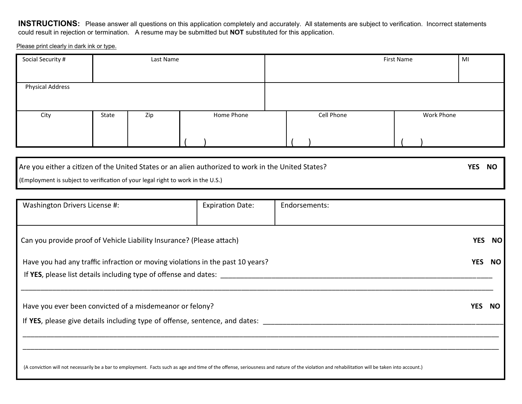**INSTRUCTIONS:** Please answer all questions on this application completely and accurately. All statements are subject to verification. Incorrect statements could result in rejection or termination. A resume may be submitted but **NOT** substituted for this application.

Please print clearly in dark ink or type.

| Social Security #       |       | Last Name |            |  |            | First Name | MI |
|-------------------------|-------|-----------|------------|--|------------|------------|----|
|                         |       |           |            |  |            |            |    |
| <b>Physical Address</b> |       |           |            |  |            |            |    |
|                         |       |           |            |  |            |            |    |
| City                    | State | Zip       | Home Phone |  | Cell Phone | Work Phone |    |
|                         |       |           |            |  |            |            |    |
|                         |       |           |            |  |            |            |    |
|                         |       |           |            |  |            |            |    |

| Are you either a citizen of the United States or an alien authorized to work in the United States? | YES NO |  |
|----------------------------------------------------------------------------------------------------|--------|--|
| (Employment is subject to verification of your legal right to work in the U.S.)                    |        |  |

| Washington Drivers License #:                                                                                                                                                                 | <b>Expiration Date:</b> | Endorsements: |     |           |
|-----------------------------------------------------------------------------------------------------------------------------------------------------------------------------------------------|-------------------------|---------------|-----|-----------|
|                                                                                                                                                                                               |                         |               |     |           |
| Can you provide proof of Vehicle Liability Insurance? (Please attach)                                                                                                                         |                         | YES.          |     | <b>NO</b> |
| Have you had any traffic infraction or moving violations in the past 10 years?                                                                                                                |                         | <b>YES</b>    |     | NO.       |
| If YES, please list details including type of offense and dates:                                                                                                                              |                         |               |     |           |
|                                                                                                                                                                                               |                         |               |     |           |
| Have you ever been convicted of a misdemeanor or felony?                                                                                                                                      |                         | YES.          | NO. |           |
| If YES, please give details including type of offense, sentence, and dates:                                                                                                                   |                         |               |     |           |
|                                                                                                                                                                                               |                         |               |     |           |
|                                                                                                                                                                                               |                         |               |     |           |
| (A conviction will not necessarily be a bar to employment. Facts such as age and time of the offense, seriousness and nature of the violation and rehabilitation will be taken into account.) |                         |               |     |           |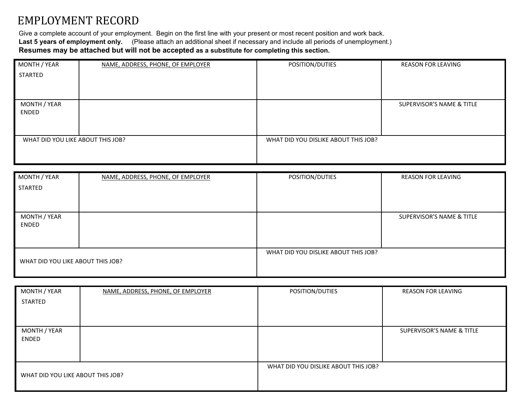# EMPLOYMENT RECORD

Give a complete account of your employment. Begin on the first line with your present or most recent position and work back. **Last 5 years of employment only.** (Please attach an additional sheet if necessary and include all periods of unemployment.) **Resumes may be attached but will not be accepted as a substitute for completing this section.** 

| MONTH / YEAR                      | NAME, ADDRESS, PHONE, OF EMPLOYER | POSITION/DUTIES                      | <b>REASON FOR LEAVING</b> |
|-----------------------------------|-----------------------------------|--------------------------------------|---------------------------|
| STARTED                           |                                   |                                      |                           |
|                                   |                                   |                                      |                           |
|                                   |                                   |                                      |                           |
| MONTH / YEAR                      |                                   |                                      | SUPERVISOR'S NAME & TITLE |
| ENDED                             |                                   |                                      |                           |
|                                   |                                   |                                      |                           |
|                                   |                                   |                                      |                           |
| WHAT DID YOU LIKE ABOUT THIS JOB? |                                   | WHAT DID YOU DISLIKE ABOUT THIS JOB? |                           |
|                                   |                                   |                                      |                           |
|                                   |                                   |                                      |                           |

| MONTH / YEAR<br>STARTED           | NAME, ADDRESS, PHONE, OF EMPLOYER | POSITION/DUTIES                      | <b>REASON FOR LEAVING</b> |
|-----------------------------------|-----------------------------------|--------------------------------------|---------------------------|
|                                   |                                   |                                      |                           |
|                                   |                                   |                                      |                           |
| MONTH / YEAR<br>ENDED             |                                   |                                      | SUPERVISOR'S NAME & TITLE |
|                                   |                                   |                                      |                           |
|                                   |                                   | WHAT DID YOU DISLIKE ABOUT THIS JOB? |                           |
| WHAT DID YOU LIKE ABOUT THIS JOB? |                                   |                                      |                           |

| MONTH / YEAR                      | NAME, ADDRESS, PHONE, OF EMPLOYER | POSITION/DUTIES                      | <b>REASON FOR LEAVING</b> |
|-----------------------------------|-----------------------------------|--------------------------------------|---------------------------|
| <b>STARTED</b>                    |                                   |                                      |                           |
|                                   |                                   |                                      |                           |
|                                   |                                   |                                      |                           |
| MONTH / YEAR                      |                                   |                                      | SUPERVISOR'S NAME & TITLE |
| ENDED                             |                                   |                                      |                           |
|                                   |                                   |                                      |                           |
|                                   |                                   |                                      |                           |
|                                   |                                   | WHAT DID YOU DISLIKE ABOUT THIS JOB? |                           |
| WHAT DID YOU LIKE ABOUT THIS JOB? |                                   |                                      |                           |
|                                   |                                   |                                      |                           |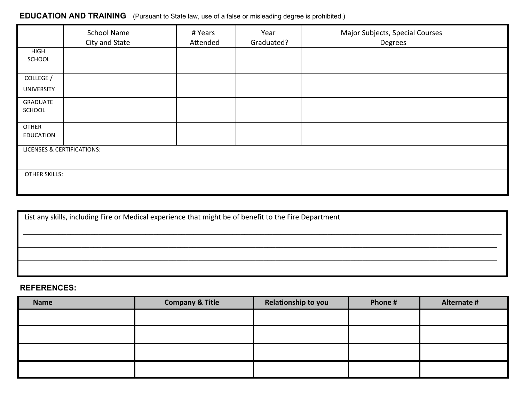## **EDUCATION AND TRAINING** (Pursuant to State law, use of a false or misleading degree is prohibited.)

|                                       | <b>School Name</b><br>City and State | # Years<br>Attended | Year<br>Graduated? | Major Subjects, Special Courses<br>Degrees |
|---------------------------------------|--------------------------------------|---------------------|--------------------|--------------------------------------------|
| <b>HIGH</b><br>SCHOOL                 |                                      |                     |                    |                                            |
| COLLEGE /                             |                                      |                     |                    |                                            |
| <b>UNIVERSITY</b>                     |                                      |                     |                    |                                            |
| GRADUATE                              |                                      |                     |                    |                                            |
| SCHOOL                                |                                      |                     |                    |                                            |
| <b>OTHER</b>                          |                                      |                     |                    |                                            |
| <b>EDUCATION</b>                      |                                      |                     |                    |                                            |
| <b>LICENSES &amp; CERTIFICATIONS:</b> |                                      |                     |                    |                                            |
|                                       |                                      |                     |                    |                                            |
| <b>OTHER SKILLS:</b>                  |                                      |                     |                    |                                            |
|                                       |                                      |                     |                    |                                            |

| List any skills, including Fire or Medical experience that might be of benefit to the Fire Department |  |  |  |  |
|-------------------------------------------------------------------------------------------------------|--|--|--|--|
|                                                                                                       |  |  |  |  |
|                                                                                                       |  |  |  |  |
|                                                                                                       |  |  |  |  |
|                                                                                                       |  |  |  |  |
|                                                                                                       |  |  |  |  |
|                                                                                                       |  |  |  |  |

### **REFERENCES:**

| <b>Name</b> | <b>Company &amp; Title</b> | Relationship to you | Phone# | Alternate # |
|-------------|----------------------------|---------------------|--------|-------------|
|             |                            |                     |        |             |
|             |                            |                     |        |             |
|             |                            |                     |        |             |
|             |                            |                     |        |             |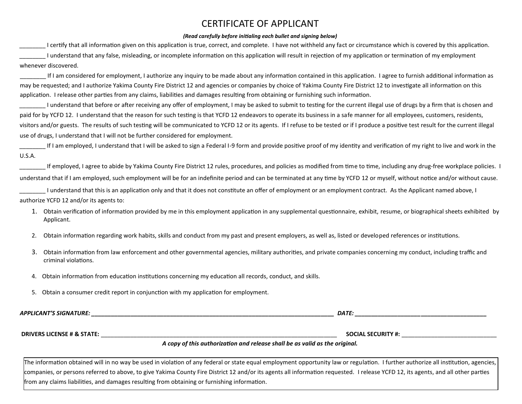## CERTIFICATE OF APPLICANT

#### *(Read carefully before initialing each bullet and signing below)*

I certify that all information given on this application is true, correct, and complete. I have not withheld any fact or circumstance which is covered by this application. \_\_\_\_\_\_\_\_ I understand that any false, misleading, or incomplete information on this application will result in rejection of my application or termination of my employment whenever discovered.

If I am considered for employment, I authorize any inquiry to be made about any information contained in this application. I agree to furnish additional information as may be requested; and I authorize Yakima County Fire District 12 and agencies or companies by choice of Yakima County Fire District 12 to investigate all information on this application. I release other parties from any claims, liabilities and damages resulting from obtaining or furnishing such information.

I understand that before or after receiving any offer of employment, I may be asked to submit to testing for the current illegal use of drugs by a firm that is chosen and paid for by YCFD 12. I understand that the reason for such testing is that YCFD 12 endeavors to operate its business in a safe manner for all employees, customers, residents, visitors and/or guests. The results of such testing will be communicated to YCFD 12 or its agents. If I refuse to be tested or if I produce a positive test result for the current illegal use of drugs, I understand that I will not be further considered for employment.

If I am employed, I understand that I will be asked to sign a Federal I-9 form and provide positive proof of my identity and verification of my right to live and work in the U.S.A.

If employed, I agree to abide by Yakima County Fire District 12 rules, procedures, and policies as modified from time to time, including any drug-free workplace policies. I understand that if I am employed, such employment will be for an indefinite period and can be terminated at any time by YCFD 12 or myself, without notice and/or without cause.

\_\_\_\_\_\_\_\_ I understand that this is an application only and that it does not constitute an offer of employment or an employment contract. As the Applicant named above, I authorize YCFD 12 and/or its agents to:

- 1. Obtain verification of information provided by me in this employment application in any supplemental questionnaire, exhibit, resume, or biographical sheets exhibited by Applicant.
- 2. Obtain information regarding work habits, skills and conduct from my past and present employers, as well as, listed or developed references or institutions.
- 3. Obtain information from law enforcement and other governmental agencies, military authorities, and private companies concerning my conduct, including traffic and criminal violations.
- 4. Obtain information from education institutions concerning my education all records, conduct, and skills.
- 5. Obtain a consumer credit report in conjunction with my application for employment.

*APPLICANT'S SIGNATURE: \_\_\_\_\_\_\_\_\_\_\_\_\_\_\_\_\_\_\_\_\_\_\_\_\_\_\_\_\_\_\_\_\_\_\_\_\_\_\_\_\_\_\_\_\_\_\_\_\_\_\_\_\_\_\_\_\_\_\_\_\_\_\_\_\_\_\_\_\_\_\_\_\_\_ DATE: \_\_\_\_\_\_\_\_\_\_\_\_\_\_\_\_\_\_\_\_\_\_\_\_\_\_\_\_\_\_\_\_\_\_\_\_\_\_\_\_* 

**DRIVERS LICENSE # & STATE:** \_\_\_\_\_\_\_\_\_\_\_\_\_\_\_\_\_\_\_\_\_\_\_\_\_\_\_\_\_\_\_\_\_\_\_\_\_\_\_\_\_\_\_\_\_\_\_\_\_\_\_\_\_\_\_\_\_\_\_\_\_\_\_\_\_\_\_\_\_\_\_\_ **SOCIAL SECURITY #:** \_\_\_\_\_\_\_\_\_\_\_\_\_\_\_\_\_\_\_\_\_\_\_\_\_\_\_\_\_

#### *A copy of this authorization and release shall be as valid as the original.*

The information obtained will in no way be used in violation of any federal or state equal employment opportunity law or regulation. I further authorize all institution, agencies, companies, or persons referred to above, to give Yakima County Fire District 12 and/or its agents all information requested. I release YCFD 12, its agents, and all other parties from any claims liabilities, and damages resulting from obtaining or furnishing information.